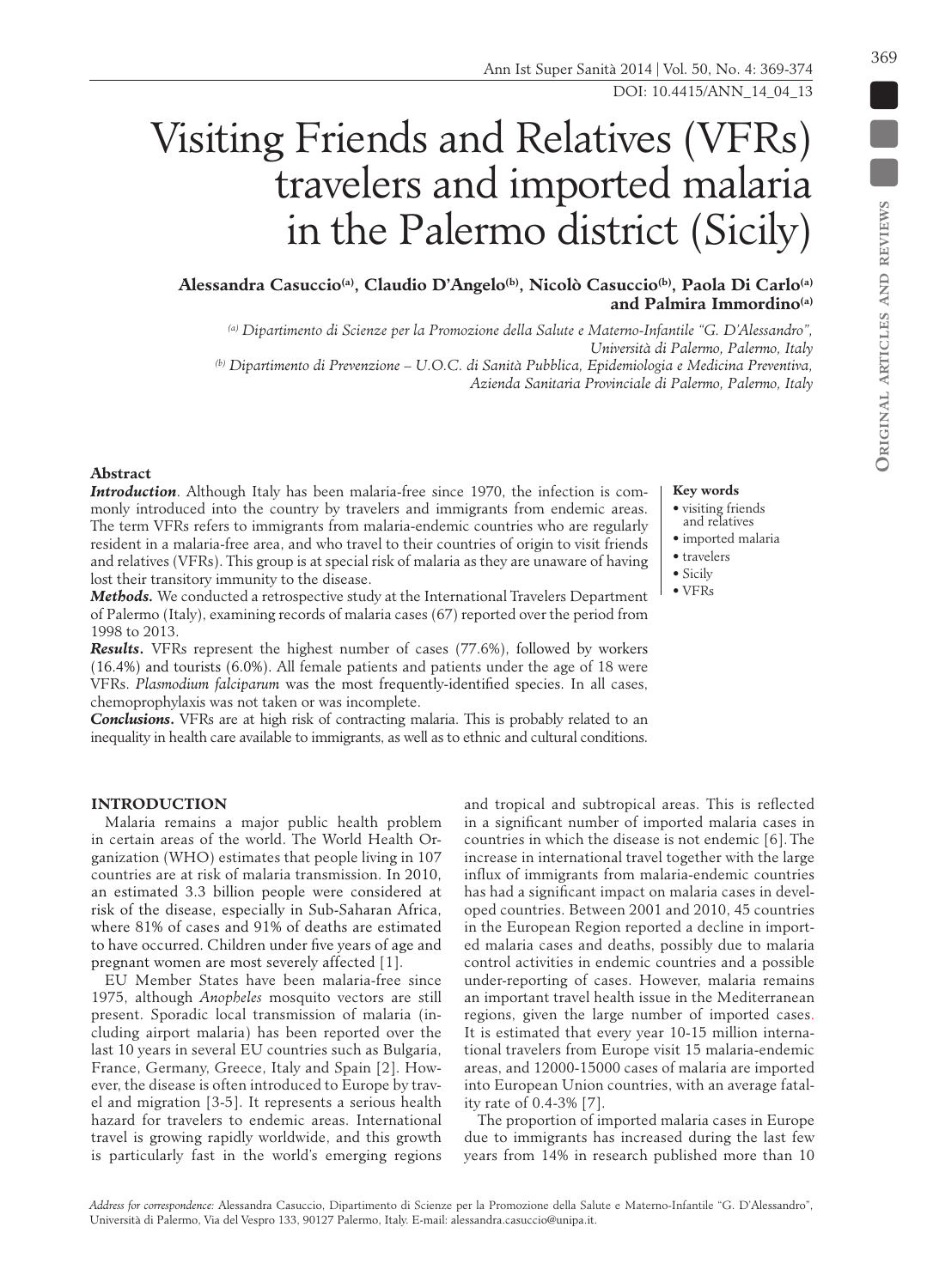D

# Visiting Friends and Relatives (VFRs) travelers and imported malaria in the Palermo district (Sicily)

Alessandra Casuccio<sup>(a)</sup>, Claudio D'Angelo<sup>(b)</sup>, Nicolò Casuccio<sup>(b)</sup>, Paola Di Carlo<sup>(a)</sup> **and Palmira Immordino(a)**

*(a) Dipartimento di Scienze per la Promozione della Salute e Materno-Infantile ''G. D'Alessandro'', Università di Palermo, Palermo, Italy*

*(b) Dipartimento di Prevenzione – U.O.C. di Sanità Pubblica, Epidemiologia e Medicina Preventiva, Azienda Sanitaria Provinciale di Palermo, Palermo, Italy* 

## **Abstract**

*Introduction*. Although Italy has been malaria-free since 1970, the infection is commonly introduced into the country by travelers and immigrants from endemic areas. The term VFRs refers to immigrants from malaria-endemic countries who are regularly resident in a malaria-free area, and who travel to their countries of origin to visit friends and relatives (VFRs). This group is at special risk of malaria as they are unaware of having lost their transitory immunity to the disease.

*Methods.* We conducted a retrospective study at the International Travelers Department of Palermo (Italy), examining records of malaria cases (67) reported over the period from 1998 to 2013.

*Results***.** VFRs represent the highest number of cases (77.6%), followed by workers (16.4%) and tourists (6.0%). All female patients and patients under the age of 18 were VFRs. *Plasmodium falciparum* was the most frequently-identified species. In all cases, chemoprophylaxis was not taken or was incomplete.

**Conclusions.** VFRs are at high risk of contracting malaria. This is probably related to an inequality in health care available to immigrants, as well as to ethnic and cultural conditions.

## **Key words**

• visiting friends

- and relatives • imported malaria
- travelers
- Sicily
- VFRs
- 

## **INTRODUCTION**

Malaria remains a major public health problem in certain areas of the world. The World Health Organization (WHO) estimates that people living in 107 countries are at risk of malaria transmission. In 2010, an estimated 3.3 billion people were considered at risk of the disease, especially in Sub-Saharan Africa, where 81% of cases and 91% of deaths are estimated to have occurred. Children under five years of age and pregnant women are most severely affected [1].

EU Member States have been malaria-free since 1975, although *Anopheles* mosquito vectors are still present. Sporadic local transmission of malaria (including airport malaria) has been reported over the last 10 years in several EU countries such as Bulgaria, France, Germany, Greece, Italy and Spain [2]. However, the disease is often introduced to Europe by travel and migration [3-5]. It represents a serious health hazard for travelers to endemic areas. International travel is growing rapidly worldwide, and this growth

and tropical and subtropical areas. This is reflected in a significant number of imported malaria cases in countries in which the disease is not endemic [6]. The increase in international travel together with the large influx of immigrants from malaria-endemic countries has had a significant impact on malaria cases in developed countries. Between 2001 and 2010, 45 countries in the European Region reported a decline in imported malaria cases and deaths, possibly due to malaria control activities in endemic countries and a possible under-reporting of cases. However, malaria remains an important travel health issue in the Mediterranean regions, given the large number of imported cases. It is estimated that every year 10-15 million international travelers from Europe visit 15 malaria-endemic areas, and 12000-15000 cases of malaria are imported into European Union countries, with an average fatality rate of 0.4-3% [7].

The proportion of imported malaria cases in Europe due to immigrants has increased during the last few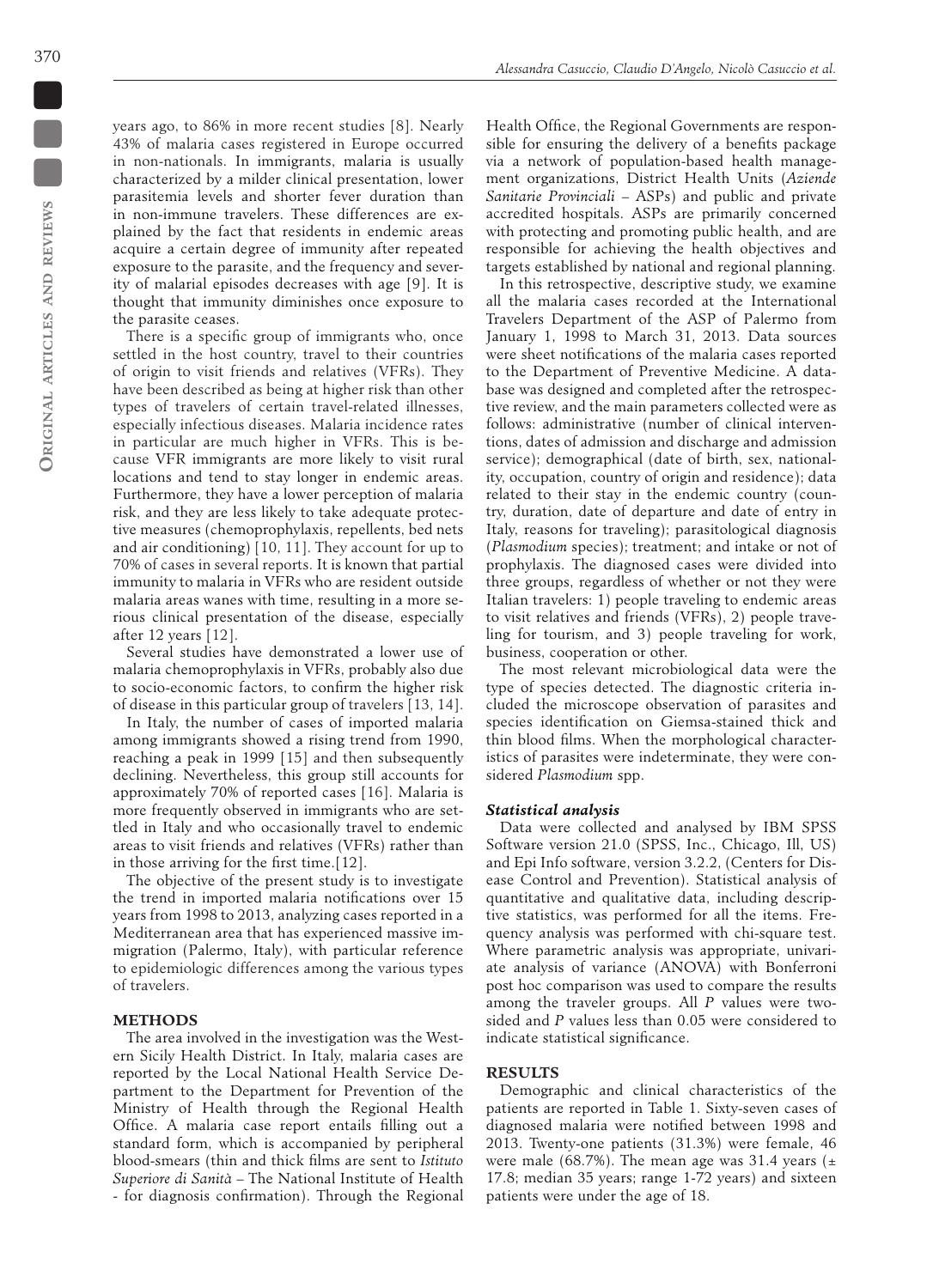years ago, to 86% in more recent studies [8]. Nearly 43% of malaria cases registered in Europe occurred in non-nationals. In immigrants, malaria is usually characterized by a milder clinical presentation, lower parasitemia levels and shorter fever duration than in non-immune travelers. These differences are explained by the fact that residents in endemic areas acquire a certain degree of immunity after repeated exposure to the parasite, and the frequency and severity of malarial episodes decreases with age [9]. It is thought that immunity diminishes once exposure to the parasite ceases.

There is a specific group of immigrants who, once settled in the host country, travel to their countries of origin to visit friends and relatives (VFRs). They have been described as being at higher risk than other types of travelers of certain travel-related illnesses, especially infectious diseases. Malaria incidence rates in particular are much higher in VFRs. This is because VFR immigrants are more likely to visit rural locations and tend to stay longer in endemic areas. Furthermore, they have a lower perception of malaria risk, and they are less likely to take adequate protective measures (chemoprophylaxis, repellents, bed nets and air conditioning) [10, 11]. They account for up to 70% of cases in several reports. It is known that partial immunity to malaria in VFRs who are resident outside malaria areas wanes with time, resulting in a more serious clinical presentation of the disease, especially after 12 years [12].

Several studies have demonstrated a lower use of malaria chemoprophylaxis in VFRs, probably also due to socio-economic factors, to confirm the higher risk of disease in this particular group of travelers [13, 14].

In Italy, the number of cases of imported malaria among immigrants showed a rising trend from 1990, reaching a peak in 1999 [15] and then subsequently declining. Nevertheless, this group still accounts for approximately 70% of reported cases [16]. Malaria is more frequently observed in immigrants who are settled in Italy and who occasionally travel to endemic areas to visit friends and relatives (VFRs) rather than in those arriving for the first time.[12].

The objective of the present study is to investigate the trend in imported malaria notifications over 15 years from 1998 to 2013, analyzing cases reported in a Mediterranean area that has experienced massive immigration (Palermo, Italy), with particular reference to epidemiologic differences among the various types of travelers.

## **METHODS**

The area involved in the investigation was the Western Sicily Health District. In Italy, malaria cases are reported by the Local National Health Service Department to the Department for Prevention of the Ministry of Health through the Regional Health Office. A malaria case report entails filling out a standard form, which is accompanied by peripheral blood-smears (thin and thick films are sent to *Istituto Superiore di Sanità –* The National Institute of Health - for diagnosis confirmation). Through the Regional

Health Office, the Regional Governments are responsible for ensuring the delivery of a benefits package via a network of population-based health management organizations, District Health Units (*Aziende Sanitarie Provinciali* – ASPs) and public and private accredited hospitals. ASPs are primarily concerned with protecting and promoting public health, and are responsible for achieving the health objectives and targets established by national and regional planning.

In this retrospective, descriptive study, we examine all the malaria cases recorded at the International Travelers Department of the ASP of Palermo from January 1, 1998 to March 31, 2013. Data sources were sheet notifications of the malaria cases reported to the Department of Preventive Medicine. A database was designed and completed after the retrospective review, and the main parameters collected were as follows: administrative (number of clinical interventions, dates of admission and discharge and admission service); demographical (date of birth, sex, nationality, occupation, country of origin and residence); data related to their stay in the endemic country (country, duration, date of departure and date of entry in Italy, reasons for traveling); parasitological diagnosis (*Plasmodium* species); treatment; and intake or not of prophylaxis. The diagnosed cases were divided into three groups, regardless of whether or not they were Italian travelers: 1) people traveling to endemic areas to visit relatives and friends (VFRs), 2) people traveling for tourism, and 3) people traveling for work, business, cooperation or other.

The most relevant microbiological data were the type of species detected. The diagnostic criteria included the microscope observation of parasites and species identification on Giemsa-stained thick and thin blood films. When the morphological characteristics of parasites were indeterminate, they were considered *Plasmodium* spp.

#### *Statistical analysis*

Data were collected and analysed by IBM SPSS Software version 21.0 (SPSS, Inc., Chicago, Ill, US) and Epi Info software, version 3.2.2, (Centers for Disease Control and Prevention). Statistical analysis of quantitative and qualitative data, including descriptive statistics, was performed for all the items. Frequency analysis was performed with chi-square test. Where parametric analysis was appropriate, univariate analysis of variance (ANOVA) with Bonferroni post hoc comparison was used to compare the results among the traveler groups. All *P* values were twosided and *P* values less than 0.05 were considered to indicate statistical significance.

## **RESULTS**

Demographic and clinical characteristics of the patients are reported in Table 1. Sixty-seven cases of diagnosed malaria were notified between 1998 and 2013. Twenty-one patients (31.3%) were female, 46 were male (68.7%). The mean age was 31.4 years ( $\pm$ 17.8; median 35 years; range 1-72 years) and sixteen patients were under the age of 18.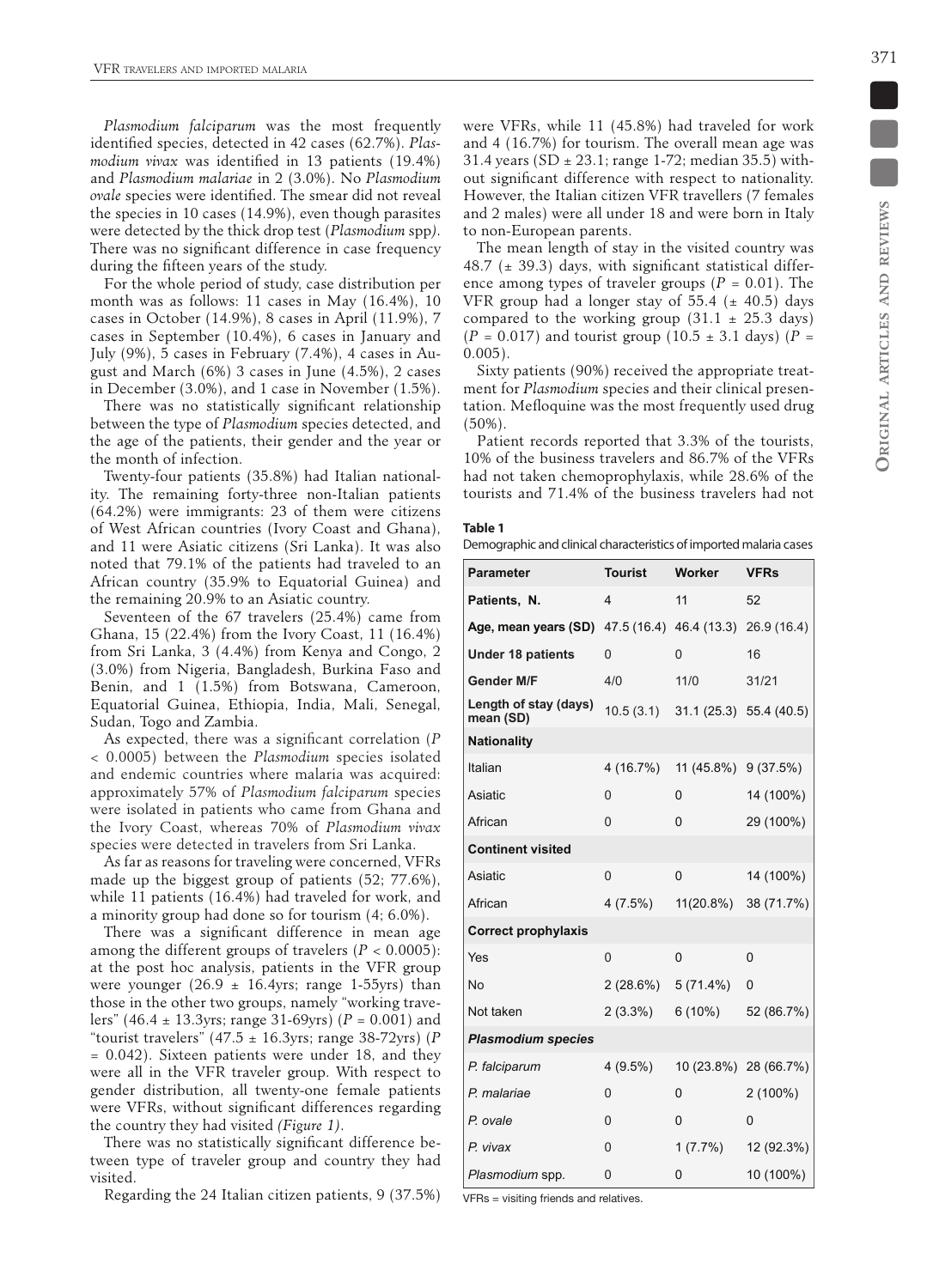*Plasmodium falciparum* was the most frequently identified species, detected in 42 cases (62.7%). *Plasmodium vivax* was identified in 13 patients (19.4%) and *Plasmodium malariae* in 2 (3.0%). No *Plasmodium ovale* species were identified. The smear did not reveal the species in 10 cases (14.9%), even though parasites were detected by the thick drop test (*Plasmodium* spp*)*. There was no significant difference in case frequency during the fifteen years of the study.

For the whole period of study, case distribution per month was as follows: 11 cases in May (16.4%), 10 cases in October (14.9%), 8 cases in April (11.9%), 7 cases in September (10.4%), 6 cases in January and July (9%), 5 cases in February (7.4%), 4 cases in August and March (6%) 3 cases in June (4.5%), 2 cases in December (3.0%), and 1 case in November (1.5%).

There was no statistically significant relationship between the type of *Plasmodium* species detected, and the age of the patients, their gender and the year or the month of infection.

Twenty-four patients (35.8%) had Italian nationality. The remaining forty-three non-Italian patients (64.2%) were immigrants: 23 of them were citizens of West African countries (Ivory Coast and Ghana), and 11 were Asiatic citizens (Sri Lanka). It was also noted that 79.1% of the patients had traveled to an African country (35.9% to Equatorial Guinea) and the remaining 20.9% to an Asiatic country.

Seventeen of the 67 travelers (25.4%) came from Ghana, 15 (22.4%) from the Ivory Coast, 11 (16.4%) from Sri Lanka, 3 (4.4%) from Kenya and Congo, 2 (3.0%) from Nigeria, Bangladesh, Burkina Faso and Benin, and 1 (1.5%) from Botswana, Cameroon, Equatorial Guinea, Ethiopia, India, Mali, Senegal, Sudan, Togo and Zambia.

As expected, there was a significant correlation (*P* < 0.0005) between the *Plasmodium* species isolated and endemic countries where malaria was acquired: approximately 57% of *Plasmodium falciparum* species were isolated in patients who came from Ghana and the Ivory Coast, whereas 70% of *Plasmodium vivax* species were detected in travelers from Sri Lanka.

As far as reasons for traveling were concerned, VFRs made up the biggest group of patients (52; 77.6%), while 11 patients (16.4%) had traveled for work, and a minority group had done so for tourism (4; 6.0%).

There was a significant difference in mean age among the different groups of travelers  $(P < 0.0005)$ : at the post hoc analysis, patients in the VFR group were younger  $(26.9 \pm 16.4)$ yrs; range 1-55 yrs) than those in the other two groups, namely "working travelers" (46.4 ± 13.3yrs; range 31-69yrs) (*P* = 0.001) and "tourist travelers" (47.5 ± 16.3yrs; range 38-72yrs) (*P*  $= 0.042$ ). Sixteen patients were under 18, and they were all in the VFR traveler group. With respect to gender distribution, all twenty-one female patients were VFRs, without significant differences regarding the country they had visited *(Figure 1)*.

There was no statistically significant difference between type of traveler group and country they had visited.

Regarding the 24 Italian citizen patients, 9 (37.5%)

were VFRs, while 11 (45.8%) had traveled for work and 4 (16.7%) for tourism. The overall mean age was 31.4 years (SD  $\pm$  23.1; range 1-72; median 35.5) without significant difference with respect to nationality. However, the Italian citizen VFR travellers (7 females and 2 males) were all under 18 and were born in Italy to non-European parents.

The mean length of stay in the visited country was 48.7 ( $\pm$  39.3) days, with significant statistical difference among types of traveler groups ( $P = 0.01$ ). The VFR group had a longer stay of 55.4 ( $\pm$  40.5) days compared to the working group  $(31.1 \pm 25.3 \text{ days})$  $(P = 0.017)$  and tourist group (10.5  $\pm$  3.1 days) (*P* = 0.005).

Sixty patients (90%) received the appropriate treatment for *Plasmodium* species and their clinical presentation. Mefloquine was the most frequently used drug (50%).

Patient records reported that 3.3% of the tourists, 10% of the business travelers and 86.7% of the VFRs had not taken chemoprophylaxis, while 28.6% of the tourists and 71.4% of the business travelers had not

#### **Table 1**

Demographic and clinical characteristics of imported malaria cases

| <b>Parameter</b>                   | <b>Tourist</b> | Worker      | VFRs        |
|------------------------------------|----------------|-------------|-------------|
| Patients, N.                       | 4              | 11          | 52          |
| Age, mean years (SD)               | 47.5 (16.4)    | 46.4 (13.3) | 26.9 (16.4) |
| <b>Under 18 patients</b>           | 0              | 0           | 16          |
| <b>Gender M/F</b>                  | 4/0            | 11/0        | 31/21       |
| Length of stay (days)<br>mean (SD) | 10.5(3.1)      | 31.1(25.3)  | 55.4 (40.5) |
| <b>Nationality</b>                 |                |             |             |
| Italian                            | 4 (16.7%)      | 11 (45.8%)  | 9(37.5%)    |
| Asiatic                            | 0              | 0           | 14 (100%)   |
| African                            | $\Omega$       | 0           | 29 (100%)   |
| <b>Continent visited</b>           |                |             |             |
| Asiatic                            | $\Omega$       | 0           | 14 (100%)   |
| African                            | 4(7.5%)        | 11(20.8%)   | 38 (71.7%)  |
| <b>Correct prophylaxis</b>         |                |             |             |
| Yes                                | $\Omega$       | 0           | 0           |
| No                                 | 2(28.6%)       | $5(71.4\%)$ | 0           |
| Not taken                          | $2(3.3\%)$     | 6(10%)      | 52 (86.7%)  |
| <b>Plasmodium species</b>          |                |             |             |
| P. falciparum                      | $4(9.5\%)$     | 10 (23.8%)  | 28 (66.7%)  |
| P. malariae                        | 0              | 0           | $2(100\%)$  |
| P. ovale                           | 0              | 0           | 0           |
| P. vivax                           | 0              | $1(7.7\%)$  | 12 (92.3%)  |
| Plasmodium spp.                    | 0              | 0           | 10 (100%)   |

VFRs = visiting friends and relatives.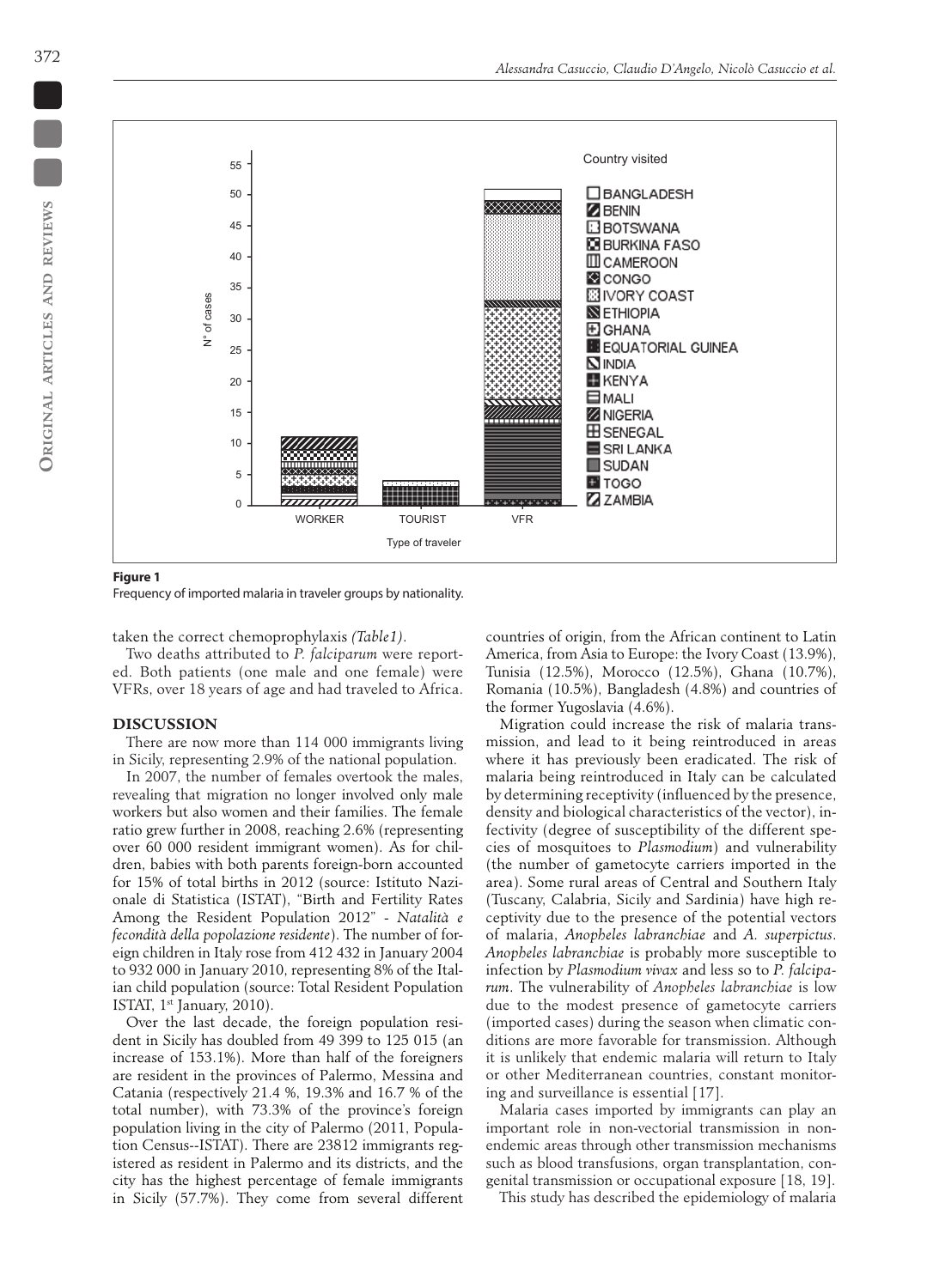

**Figure 1**

Frequency of imported malaria in traveler groups by nationality.

taken the correct chemoprophylaxis *(Table1)*.

Two deaths attributed to *P. falciparum* were reported. Both patients (one male and one female) were VFRs, over 18 years of age and had traveled to Africa.

### **DISCUSSION**

There are now more than 114 000 immigrants living in Sicily, representing 2.9% of the national population.

In 2007, the number of females overtook the males, revealing that migration no longer involved only male workers but also women and their families. The female ratio grew further in 2008, reaching 2.6% (representing over 60 000 resident immigrant women). As for children, babies with both parents foreign-born accounted for 15% of total births in 2012 (source: Istituto Nazionale di Statistica (ISTAT), "Birth and Fertility Rates Among the Resident Population 2012" - *Natalità e fecondità della popolazione residente*). The number of foreign children in Italy rose from 412 432 in January 2004 to 932 000 in January 2010, representing 8% of the Italian child population (source: Total Resident Population ISTAT, 1st January, 2010).

Over the last decade, the foreign population resident in Sicily has doubled from 49 399 to 125 015 (an increase of 153.1%). More than half of the foreigners are resident in the provinces of Palermo, Messina and Catania (respectively 21.4 %, 19.3% and 16.7 % of the total number), with 73.3% of the province's foreign population living in the city of Palermo (2011, Population Census--ISTAT). There are 23812 immigrants registered as resident in Palermo and its districts, and the city has the highest percentage of female immigrants in Sicily (57.7%). They come from several different countries of origin, from the African continent to Latin America, from Asia to Europe: the Ivory Coast (13.9%), Tunisia (12.5%), Morocco (12.5%), Ghana (10.7%), Romania (10.5%), Bangladesh (4.8%) and countries of the former Yugoslavia (4.6%).

Migration could increase the risk of malaria transmission, and lead to it being reintroduced in areas where it has previously been eradicated. The risk of malaria being reintroduced in Italy can be calculated by determining receptivity (influenced by the presence, density and biological characteristics of the vector), infectivity (degree of susceptibility of the different species of mosquitoes to *Plasmodium*) and vulnerability (the number of gametocyte carriers imported in the area). Some rural areas of Central and Southern Italy (Tuscany, Calabria, Sicily and Sardinia) have high receptivity due to the presence of the potential vectors of malaria, *Anopheles labranchiae* and *A. superpictus*. *Anopheles labranchiae* is probably more susceptible to infection by *Plasmodium vivax* and less so to *P. falciparum*. The vulnerability of *Anopheles labranchiae* is low due to the modest presence of gametocyte carriers (imported cases) during the season when climatic conditions are more favorable for transmission. Although it is unlikely that endemic malaria will return to Italy or other Mediterranean countries, constant monitoring and surveillance is essential [17].

Malaria cases imported by immigrants can play an important role in non-vectorial transmission in nonendemic areas through other transmission mechanisms such as blood transfusions, organ transplantation, congenital transmission or occupational exposure [18, 19].

This study has described the epidemiology of malaria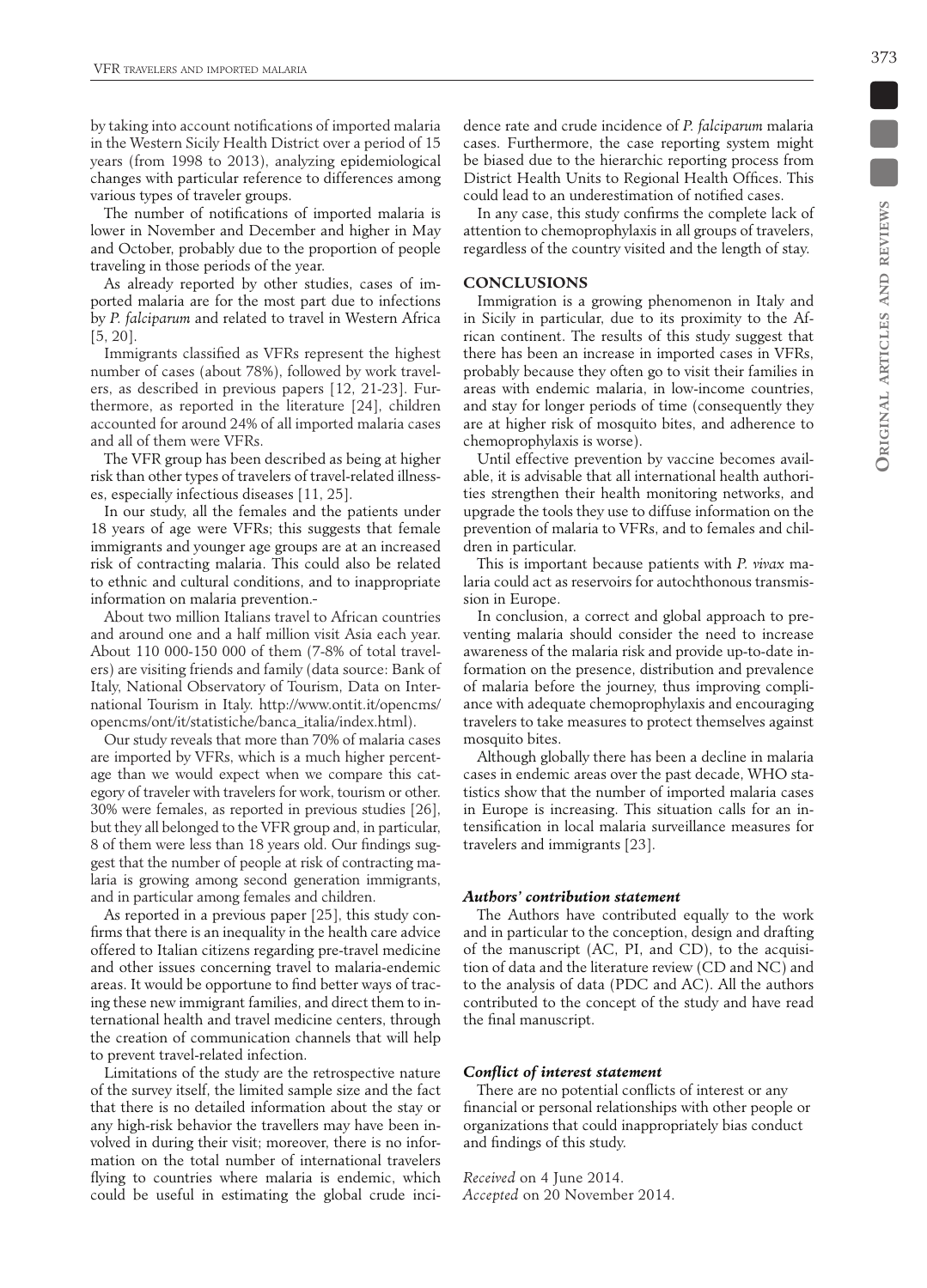by taking into account notifications of imported malaria in the Western Sicily Health District over a period of 15 years (from 1998 to 2013), analyzing epidemiological changes with particular reference to differences among various types of traveler groups.

The number of notifications of imported malaria is lower in November and December and higher in May and October, probably due to the proportion of people traveling in those periods of the year.

As already reported by other studies, cases of imported malaria are for the most part due to infections by *P. falciparum* and related to travel in Western Africa [5, 20].

Immigrants classified as VFRs represent the highest number of cases (about 78%), followed by work travelers, as described in previous papers [12, 21-23]. Furthermore, as reported in the literature [24], children accounted for around 24% of all imported malaria cases and all of them were VFRs.

The VFR group has been described as being at higher risk than other types of travelers of travel-related illnesses, especially infectious diseases [11, 25].

In our study, all the females and the patients under 18 years of age were VFRs; this suggests that female immigrants and younger age groups are at an increased risk of contracting malaria. This could also be related to ethnic and cultural conditions, and to inappropriate information on malaria prevention.

About two million Italians travel to African countries and around one and a half million visit Asia each year. About 110 000-150 000 of them (7-8% of total travelers) are visiting friends and family (data source: Bank of Italy, National Observatory of Tourism, Data on International Tourism in Italy. http://www.ontit.it/opencms/ opencms/ont/it/statistiche/banca\_italia/index.html).

Our study reveals that more than 70% of malaria cases are imported by VFRs, which is a much higher percentage than we would expect when we compare this category of traveler with travelers for work, tourism or other. 30% were females, as reported in previous studies [26], but they all belonged to the VFR group and, in particular, 8 of them were less than 18 years old. Our findings suggest that the number of people at risk of contracting malaria is growing among second generation immigrants, and in particular among females and children.

As reported in a previous paper [25], this study confirms that there is an inequality in the health care advice offered to Italian citizens regarding pre-travel medicine and other issues concerning travel to malaria-endemic areas. It would be opportune to find better ways of tracing these new immigrant families, and direct them to international health and travel medicine centers, through the creation of communication channels that will help to prevent travel-related infection.

Limitations of the study are the retrospective nature of the survey itself, the limited sample size and the fact that there is no detailed information about the stay or any high-risk behavior the travellers may have been involved in during their visit; moreover, there is no information on the total number of international travelers flying to countries where malaria is endemic, which could be useful in estimating the global crude incidence rate and crude incidence of *P. falciparum* malaria cases. Furthermore, the case reporting system might be biased due to the hierarchic reporting process from District Health Units to Regional Health Offices. This could lead to an underestimation of notified cases.

In any case, this study confirms the complete lack of attention to chemoprophylaxis in all groups of travelers, regardless of the country visited and the length of stay.

## **CONCLUSIONS**

Immigration is a growing phenomenon in Italy and in Sicily in particular, due to its proximity to the African continent. The results of this study suggest that there has been an increase in imported cases in VFRs, probably because they often go to visit their families in areas with endemic malaria, in low-income countries, and stay for longer periods of time (consequently they are at higher risk of mosquito bites, and adherence to chemoprophylaxis is worse).

Until effective prevention by vaccine becomes available, it is advisable that all international health authorities strengthen their health monitoring networks, and upgrade the tools they use to diffuse information on the prevention of malaria to VFRs, and to females and children in particular.

This is important because patients with *P. vivax* malaria could act as reservoirs for autochthonous transmission in Europe.

In conclusion, a correct and global approach to preventing malaria should consider the need to increase awareness of the malaria risk and provide up-to-date information on the presence, distribution and prevalence of malaria before the journey, thus improving compliance with adequate chemoprophylaxis and encouraging travelers to take measures to protect themselves against mosquito bites.

Although globally there has been a decline in malaria cases in endemic areas over the past decade, WHO statistics show that the number of imported malaria cases in Europe is increasing. This situation calls for an intensification in local malaria surveillance measures for travelers and immigrants [23].

## *Authors' contribution statement*

The Authors have contributed equally to the work and in particular to the conception, design and drafting of the manuscript (AC, PI, and CD), to the acquisition of data and the literature review (CD and NC) and to the analysis of data (PDC and AC). All the authors contributed to the concept of the study and have read the final manuscript.

## *Conflict of interest statement*

There are no potential conflicts of interest or any financial or personal relationships with other people or organizations that could inappropriately bias conduct and findings of this study.

*Received* on 4 June 2014. *Accepted* on 20 November 2014.